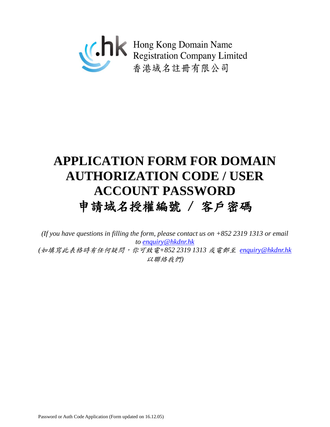

# **APPLICATION FORM FOR DOMAIN AUTHORIZATION CODE / USER ACCOUNT PASSWORD** 申請域名授權編號 / 客戶密碼

*(If you have questions in filling the form, please contact us on +852 2319 1313 or email to [enquiry@hkdnr.hk](mailto:enquiry@hkdnr.hk) (*如填寫此表格時有任何疑問,你可致電*+852 2319 1313* 或電郵至 *[enquiry@hkdnr.hk](mailto:enquiry@hkdnr.hk)* 以聯絡我們*)*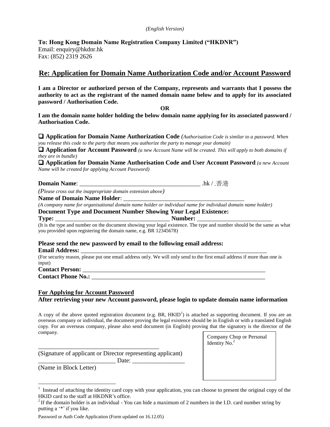#### *(English Version)*

**To: Hong Kong Domain Name Registration Company Limited ("HKDNR")** Email: enquiry@hkdnr.hk Fax: (852) 2319 2626

## **Re: Application for Domain Name Authorization Code and/or Account Password**

**I am a Director or authorized person of the Company, represents and warrants that I possess the authority to act as the registrant of the named domain name below and to apply for its associated password / Authorisation Code.**

**OR**

**I am the domain name holder holding the below domain name applying for its associated password / Authorisation Code.**

 **Application for Domain Name Authorization Code** *(Authorisation Code is similar to a password. When you release this code to the party that means you authorize the party to manage your domain)*

 **Application for Account Password** *(a new Account Name will be created. This will apply to both domains if they are in bundle)*

 **Application for Domain Name Authorisation Code and User Account Password** *(a new Account Name will be created for applying Account Password)*

## **Domain Name**: \_\_\_\_\_\_\_\_\_\_\_\_\_\_\_\_\_\_\_\_\_\_\_\_\_\_\_\_\_\_\_\_\_\_\_\_\_\_\_ .hk / .香港

*(Please cross out the inappropriate domain extension above)*

#### Name of Domain Name Holder:

*(A company name for organisational domain name holder or individual name for individual domain name holder)*

**Document Type and Document Number Showing Your Legal Existence:**

# **Type:**  $\blacksquare$   $\blacksquare$   $\blacksquare$   $\blacksquare$   $\blacksquare$   $\blacksquare$   $\blacksquare$   $\blacksquare$   $\blacksquare$   $\blacksquare$   $\blacksquare$   $\blacksquare$   $\blacksquare$   $\blacksquare$   $\blacksquare$   $\blacksquare$   $\blacksquare$   $\blacksquare$   $\blacksquare$   $\blacksquare$   $\blacksquare$   $\blacksquare$   $\blacksquare$   $\blacksquare$   $\blacksquare$   $\blacksquare$   $\blacksquare$   $\blacksquare$   $\blacksquare$   $\blacksquare$   $\blacks$

(It is the type and number on the document showing your legal existence. The type and number should be the same as what you provided upon registering the domain name, e.g. BR 12345678)

## **Please send the new password by email to the following email address:**

**Email Address:** 

(For security reason, please put one email address only. We will only send to the first email address if more than one is input)

#### **Contact Person:** \_\_\_\_\_\_\_\_\_\_\_\_\_\_\_\_\_\_\_\_\_\_\_\_\_\_\_\_\_\_\_\_\_\_\_\_\_\_\_\_\_\_\_\_\_\_\_\_\_\_\_\_\_\_\_\_\_\_\_

**Contact Phone No.:** \_\_\_\_\_\_\_\_\_\_\_\_\_\_\_\_\_\_\_\_\_\_\_\_\_\_\_\_\_\_\_\_\_\_\_\_\_\_\_\_\_\_\_\_\_\_\_\_\_\_\_\_\_\_\_\_

### **For Applying for Account Password**

**After retrieving your new Account password, please login to update domain name information**

A copy of the above quoted registration document (e.g. BR,  $HKID<sup>1</sup>$ ) is attached as supporting document. If you are an overseas company or individual, the document proving the legal existence should be in English or with a translated English copy. For an overseas company, please also send document (in English) proving that the signatory is the director of the company.

(Signature of applicant or Director representing applicant)  $Date:$ 

\_\_\_\_\_\_\_\_\_\_\_\_\_\_\_\_\_\_\_\_\_\_\_\_\_\_\_\_\_\_\_\_\_\_\_\_\_\_\_

(Name in Block Letter)

 $\overline{a}$ 



<sup>1</sup> Instead of attaching the identity card copy with your application, you can choose to present the original copy of the HKID card to the staff at HKDNR's office.

<sup>&</sup>lt;sup>2</sup>If the domain holder is an individual - You can hide a maximum of 2 numbers in the I.D. card number string by putting a '\*' if you like.

Password or Auth Code Application (Form updated on 16.12.05)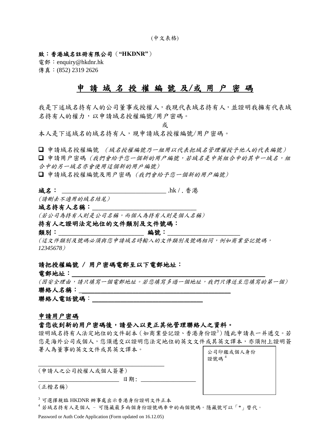#### 致:香港域名註冊有限公司(**"HKDNR"**)

電郵: enquiry@hkdnr.hk 傳真: (852) 2319 2626

# 申 請 域 名 授 權 編 號 及/或 用 户 密 碼

我是下述域名持有人的公司董事或授權人,我現代表域名持有人,並證明我擁有代表域 名持有人的權力,以申請域名授權編號/用户密碼。

或

本人是下述域名的域名持有人,現申請域名授權編號/用户密碼。

■ 申請域名授權編號, (域名授權編號乃一組用以代表把域名管理權授予他人的代表編號)

□ 申請用户密碼 (我們會給予您一個新的用户編號,若域名是中英組合中的其中一域名,組 合中的另一域名亦會使用這個新的用戶編號)

□ 申請域名授權編號及用户密碼 (我們會給予您一個新的用户編號)

**域名:** [1]

(請刪去不適用的域名結尾)

域名持有人名稱:

(若公司為持有人則是公司名稱,而個人為持有人則是個人名稱)

#### 持有人之證明法定地位的文件類別及文件號碼:

#### 類別:\_\_\_\_\_\_\_\_\_\_\_\_\_\_\_\_\_\_\_\_\_\_\_\_\_\_\_ 編號:\_\_\_\_\_\_\_\_\_\_\_\_\_\_\_\_\_\_\_\_\_\_\_

(這文件類別及號碼必須與您申請域名時輸入的文件類別及號碼相同,例如商業登記號碼, *12345678*)

#### 請把授權編號 / 用户密碼電郵至以下電郵地址:

雷郵地址:

(因安全理由,請只填寫一個電郵地址。若您填寫多過一個地址,我們只傳送至您填寫的第一個) 聯絡人名稱: $\qquad \qquad$ 

聯絡人雷話號碼:

#### 申請用户密碼

## 當您收到新的用户密碼後,請登入以更正其他管理聯絡人之資料。

日 期 :

證明域名持有人法定地位的文件副本(如商業登記證、香港身份證3)隨此申請表一并遞交。若 您是海外公司或個人,您須遞交以證明您法定地位的英文文件或其英文譯本,亦須附上證明簽 署人為董事的英文文件或其英文譯本。

(申請人之公司授權人或個人簽署)

(正楷名稱)

<sup>3</sup>可選擇親臨 HKDNR 辦事處出示香港身份證明文件正本

\_\_\_\_\_\_\_\_\_\_\_\_\_\_\_\_\_\_\_\_\_\_\_\_\_\_\_\_\_\_\_\_\_\_\_\_\_\_\_

<sup>4</sup>若域名持有人是個人 - 可隱藏最多兩個身份證號碼串中的兩個號碼。隱藏號可以「\*」替代。

Password or Auth Code Application (Form updated on 16.12.05)

公司印鑑或個人身份 證號碼 <sup>4</sup>